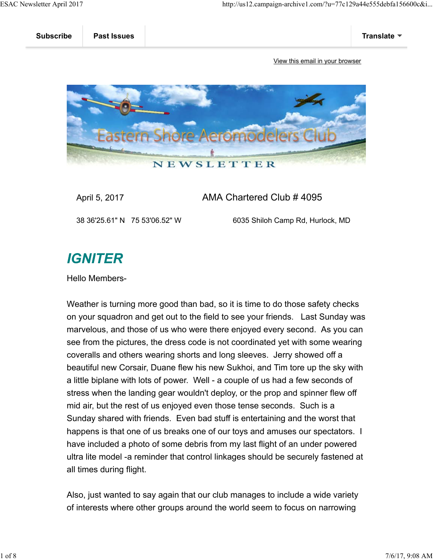

### April 5, 2017 AMA Chartered Club # 4095

38 36'25.61" N 75 53'06.52" W 6035 Shiloh Camp Rd, Hurlock, MD

## **IGNITER**

Hello Members-

Weather is turning more good than bad, so it is time to do those safety checks on your squadron and get out to the field to see your friends. Last Sunday was marvelous, and those of us who were there enjoyed every second. As you can see from the pictures, the dress code is not coordinated yet with some wearing coveralls and others wearing shorts and long sleeves. Jerry showed off a beautiful new Corsair, Duane flew his new Sukhoi, and Tim tore up the sky with a little biplane with lots of power. Well - a couple of us had a few seconds of stress when the landing gear wouldn't deploy, or the prop and spinner flew off mid air, but the rest of us enjoyed even those tense seconds. Such is a Sunday shared with friends. Even bad stuff is entertaining and the worst that happens is that one of us breaks one of our toys and amuses our spectators. I have included a photo of some debris from my last flight of an under powered ultra lite model -a reminder that control linkages should be securely fastened at all times during flight.

Also, just wanted to say again that our club manages to include a wide variety of interests where other groups around the world seem to focus on narrowing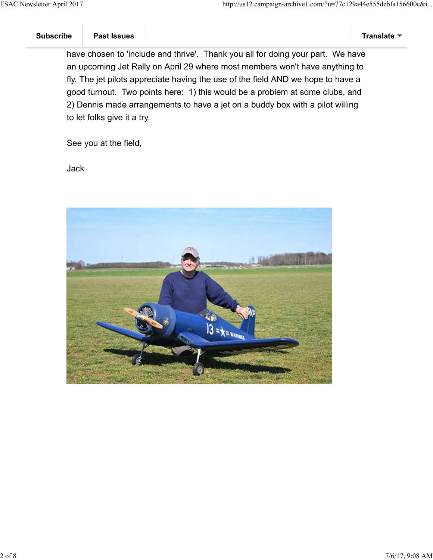have chosen to 'include and thrive'. Thank you all for doing your part. We have an upcoming Jet Rally on April 29 where most members won't have anything to fly. The jet pilots appreciate having the use of the field AND we hope to have a good turnout. Two points here: 1) this would be a problem at some clubs, and 2) Dennis made arrangements to have a jet on a buddy box with a pilot willing to let folks give it a try.

See you at the field,

Jack

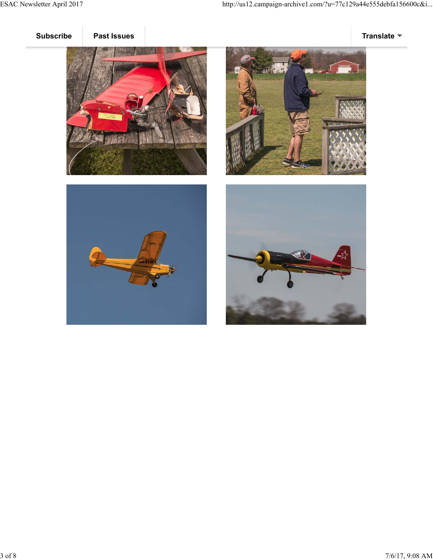





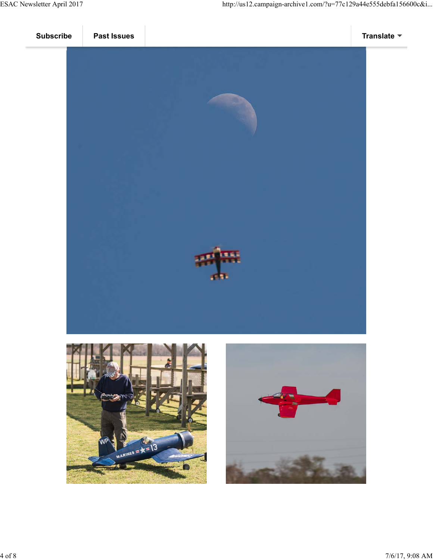



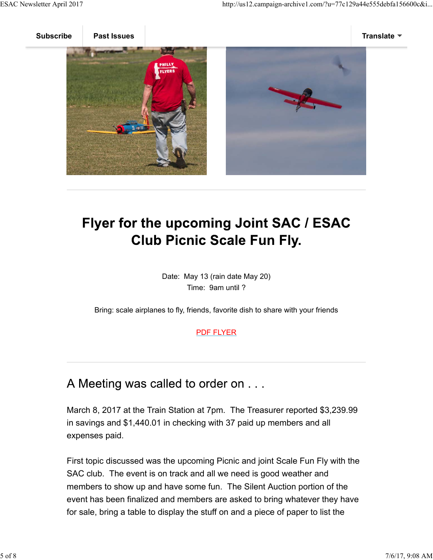

# Flyer for the upcoming Joint SAC / ESAC **Club Picnic Scale Fun Fly.**

Date: May 13 (rain date May 20) Time: 9am until ?

Bring: scale airplanes to fly, friends, favorite dish to share with your friends

#### PDF FLYER

### A Meeting was called to order on . . .

March 8, 2017 at the Train Station at 7pm. The Treasurer reported \$3,239.99 in savings and \$1,440.01 in checking with 37 paid up members and all expenses paid.

First topic discussed was the upcoming Picnic and joint Scale Fun Fly with the SAC club. The event is on track and all we need is good weather and members to show up and have some fun. The Silent Auction portion of the event has been finalized and members are asked to bring whatever they have for sale, bring a table to display the stuff on and a piece of paper to list the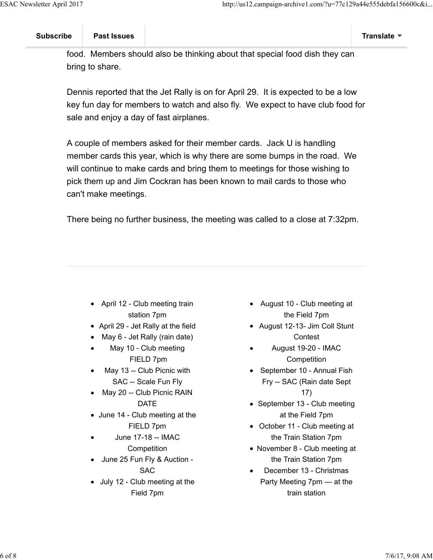food. Members should also be thinking about that special food dish they can bring to share.

Dennis reported that the Jet Rally is on for April 29. It is expected to be a low key fun day for members to watch and also fly. We expect to have club food for sale and enjoy a day of fast airplanes.

A couple of members asked for their member cards. Jack U is handling member cards this year, which is why there are some bumps in the road. We will continue to make cards and bring them to meetings for those wishing to pick them up and Jim Cockran has been known to mail cards to those who can't make meetings.

There being no further business, the meeting was called to a close at 7:32pm.

- April 12 Club meeting train station 7pm
- April 29 Jet Rally at the field
- May 6 Jet Rally (rain date)
- May 10 Club meeting  $\bullet$ FIELD 7pm
- May 13 -- Club Picnic with SAC -- Scale Fun Fly
- May 20 -- Club Picnic RAIN DATE
- June 14 Club meeting at the FIELD 7pm
- June 17-18 -- IMAC **Competition**
- June 25 Fun Fly & Auction SAC
- July 12 Club meeting at the Field 7pm
- August 10 Club meeting at the Field 7pm
- August 12-13- Jim Coll Stunt **Contest**
- August 19-20 IMAC **Competition**
- September 10 Annual Fish Fry -- SAC (Rain date Sept 17)
- September 13 Club meeting at the Field 7pm
- October 11 Club meeting at the Train Station 7pm
- November 8 Club meeting at the Train Station 7pm
- December 13 Christmas Party Meeting 7pm — at the train station